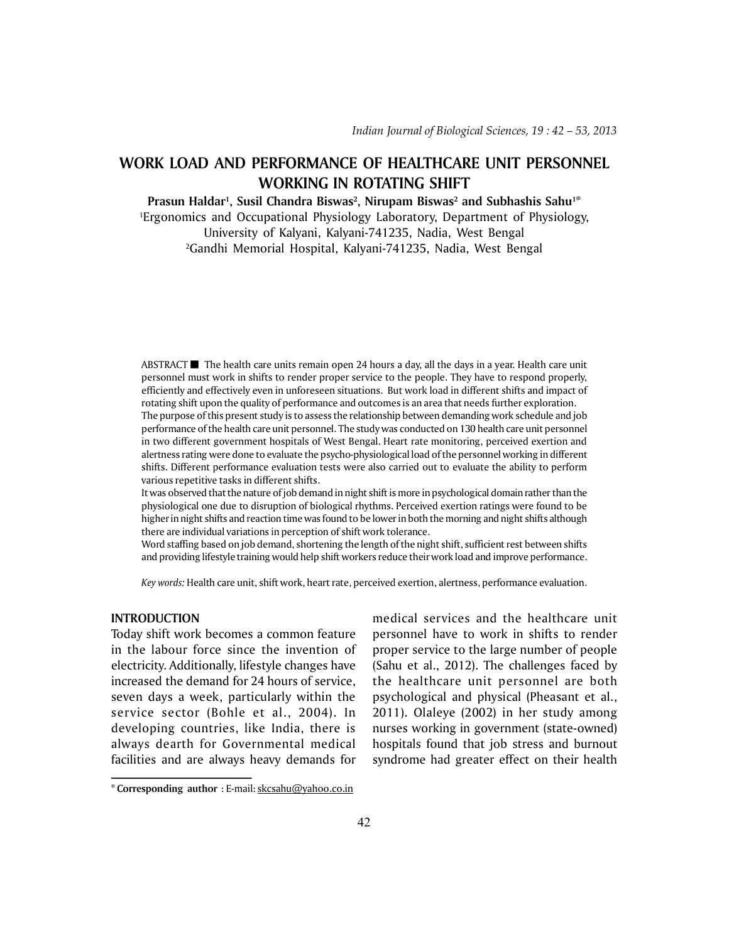# **WORK LOAD AND PERFORMANCE OF HEALTHCARE UNIT PERSONNEL WORKING IN ROTATING SHIFT**

Prasun Haldar<sup>ı</sup>, Susil Chandra Biswas<sup>2</sup>, Nirupam Biswas<sup>2</sup> and Subhashis Sahu<sup>1</sup>\*

1 Ergonomics and Occupational Physiology Laboratory, Department of Physiology,

University of Kalyani, Kalyani-741235, Nadia, West Bengal 2 Gandhi Memorial Hospital, Kalyani-741235, Nadia, West Bengal

ABSTRACT  $\blacksquare$  The health care units remain open 24 hours a day, all the days in a year. Health care unit personnel must work in shifts to render proper service to the people. They have to respond properly, efficiently and effectively even in unforeseen situations. But work load in different shifts and impact of rotating shift upon the quality of performance and outcomes is an area that needs further exploration. The purpose of this present study is to assess the relationship between demanding work schedule and job performance of the health care unit personnel. The study was conducted on 130 health care unit personnel in two different government hospitals of West Bengal. Heart rate monitoring, perceived exertion and alertness rating were done to evaluate the psycho-physiological load of the personnel working in different shifts. Different performance evaluation tests were also carried out to evaluate the ability to perform various repetitive tasks in different shifts.

It was observed that the nature of job demand in night shift is more in psychological domain rather than the physiological one due to disruption of biological rhythms. Perceived exertion ratings were found to be higher in night shifts and reaction time was found to be lower in both the morning and night shifts although there are individual variations in perception of shift work tolerance.

Word staffing based on job demand, shortening the length of the night shift, sufficient rest between shifts and providing lifestyle training would help shift workers reduce their work load and improve performance.

*Key words:* Health care unit, shift work, heart rate, perceived exertion, alertness, performance evaluation.

# **INTRODUCTION**

Today shift work becomes a common feature in the labour force since the invention of electricity. Additionally, lifestyle changes have increased the demand for 24 hours of service, seven days a week, particularly within the service sector (Bohle et al., 2004). In developing countries, like India, there is always dearth for Governmental medical facilities and are always heavy demands for medical services and the healthcare unit personnel have to work in shifts to render proper service to the large number of people (Sahu et al., 2012). The challenges faced by the healthcare unit personnel are both psychological and physical (Pheasant et al., 2011). Olaleye (2002) in her study among nurses working in government (state-owned) hospitals found that job stress and burnout syndrome had greater effect on their health

**<sup>\*</sup> Corresponding author** : E-mail: skcsahu@yahoo.co.in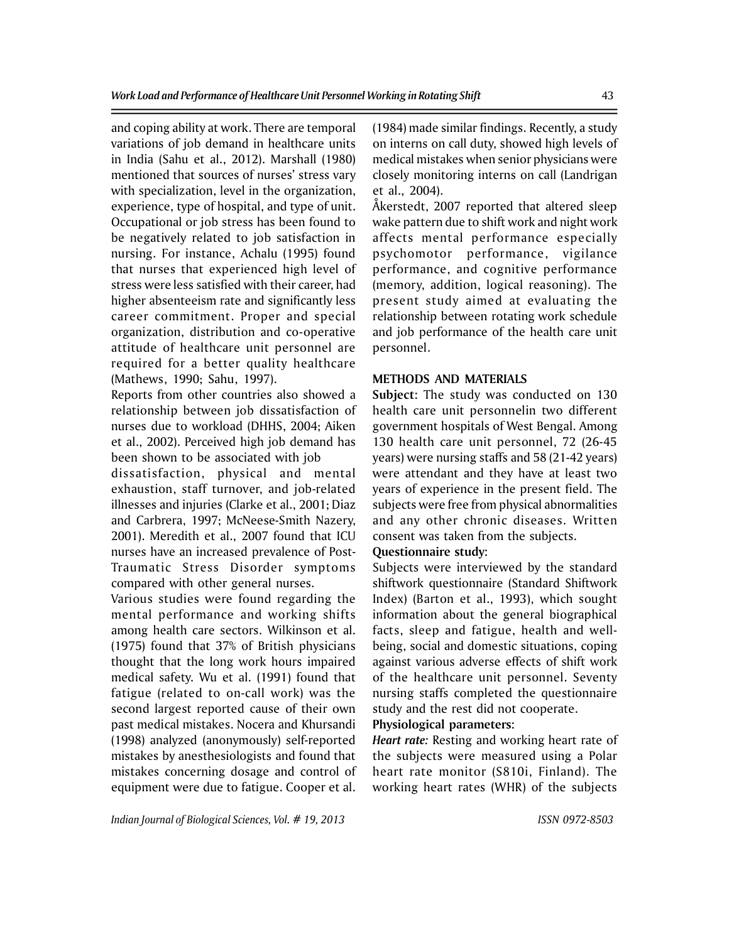and coping ability at work. There are temporal variations of job demand in healthcare units in India (Sahu et al., 2012). Marshall (1980) mentioned that sources of nurses' stress vary with specialization, level in the organization, experience, type of hospital, and type of unit. Occupational or job stress has been found to be negatively related to job satisfaction in nursing. For instance, Achalu (1995) found that nurses that experienced high level of stress were less satisfied with their career, had higher absenteeism rate and significantly less career commitment. Proper and special organization, distribution and co-operative attitude of healthcare unit personnel are required for a better quality healthcare (Mathews, 1990; Sahu, 1997).

Reports from other countries also showed a relationship between job dissatisfaction of nurses due to workload (DHHS, 2004; Aiken et al., 2002). Perceived high job demand has been shown to be associated with job

dissatisfaction, physical and mental exhaustion, staff turnover, and job-related illnesses and injuries (Clarke et al., 2001; Diaz and Carbrera, 1997; McNeese-Smith Nazery, 2001). Meredith et al., 2007 found that ICU nurses have an increased prevalence of Post-Traumatic Stress Disorder symptoms compared with other general nurses.

Various studies were found regarding the mental performance and working shifts among health care sectors. Wilkinson et al. (1975) found that 37% of British physicians thought that the long work hours impaired medical safety. Wu et al. (1991) found that fatigue (related to on-call work) was the second largest reported cause of their own past medical mistakes. Nocera and Khursandi (1998) analyzed (anonymously) self-reported mistakes by anesthesiologists and found that mistakes concerning dosage and control of equipment were due to fatigue. Cooper et al. (1984) made similar findings. Recently, a study on interns on call duty, showed high levels of medical mistakes when senior physicians were closely monitoring interns on call (Landrigan et al., 2004).

Åkerstedt, 2007 reported that altered sleep wake pattern due to shift work and night work affects mental performance especially psychomotor performance, vigilance performance, and cognitive performance (memory, addition, logical reasoning). The present study aimed at evaluating the relationship between rotating work schedule and job performance of the health care unit personnel.

# **METHODS AND MATERIALS**

**Subject:** The study was conducted on 130 health care unit personnelin two different government hospitals of West Bengal. Among 130 health care unit personnel, 72 (26-45 years) were nursing staffs and 58 (21-42 years) were attendant and they have at least two years of experience in the present field. The subjects were free from physical abnormalities and any other chronic diseases. Written consent was taken from the subjects.

## **Questionnaire study:**

Subjects were interviewed by the standard shiftwork questionnaire (Standard Shiftwork Index) (Barton et al., 1993), which sought information about the general biographical facts, sleep and fatigue, health and wellbeing, social and domestic situations, coping against various adverse effects of shift work of the healthcare unit personnel. Seventy nursing staffs completed the questionnaire study and the rest did not cooperate.

# **Physiological parameters:**

*Heart rate:* Resting and working heart rate of the subjects were measured using a Polar heart rate monitor (S810i, Finland). The working heart rates (WHR) of the subjects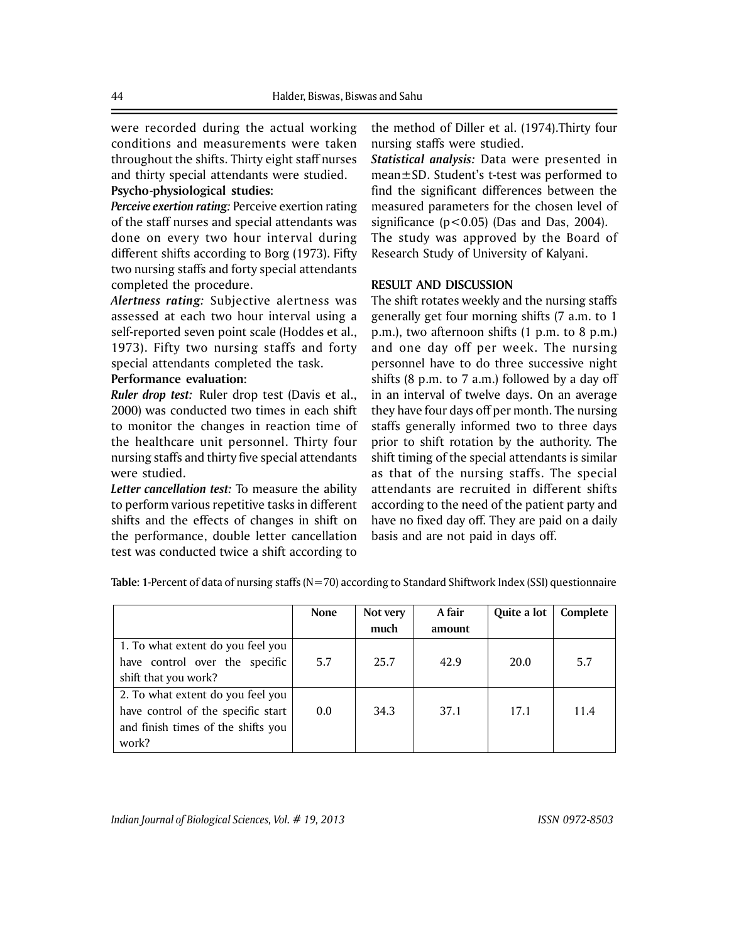were recorded during the actual working conditions and measurements were taken throughout the shifts. Thirty eight staff nurses and thirty special attendants were studied. **Psycho-physiological studies:**

*Perceive exertion rating:* Perceive exertion rating of the staff nurses and special attendants was done on every two hour interval during different shifts according to Borg (1973). Fifty two nursing staffs and forty special attendants completed the procedure.

*Alertness rating:* Subjective alertness was assessed at each two hour interval using a self-reported seven point scale (Hoddes et al., 1973). Fifty two nursing staffs and forty special attendants completed the task.

## **Performance evaluation:**

*Ruler drop test:* Ruler drop test (Davis et al., 2000) was conducted two times in each shift to monitor the changes in reaction time of the healthcare unit personnel. Thirty four nursing staffs and thirty five special attendants were studied.

*Letter cancellation test:* To measure the ability to perform various repetitive tasks in different shifts and the effects of changes in shift on the performance, double letter cancellation test was conducted twice a shift according to

the method of Diller et al. (1974).Thirty four nursing staffs were studied.

*Statistical analysis:* Data were presented in mean±SD. Student's t-test was performed to find the significant differences between the measured parameters for the chosen level of significance  $(p<0.05)$  (Das and Das, 2004). The study was approved by the Board of Research Study of University of Kalyani.

#### **RESULT AND DISCUSSION**

The shift rotates weekly and the nursing staffs generally get four morning shifts (7 a.m. to 1 p.m.), two afternoon shifts (1 p.m. to 8 p.m.) and one day off per week. The nursing personnel have to do three successive night shifts (8 p.m. to 7 a.m.) followed by a day off in an interval of twelve days. On an average they have four days off per month. The nursing staffs generally informed two to three days prior to shift rotation by the authority. The shift timing of the special attendants is similar as that of the nursing staffs. The special attendants are recruited in different shifts according to the need of the patient party and have no fixed day off. They are paid on a daily basis and are not paid in days off.

|                                           | <b>None</b> | Not very | A fair | Quite a lot | Complete |
|-------------------------------------------|-------------|----------|--------|-------------|----------|
|                                           |             | much     | amount |             |          |
| 1. To what extent do you feel you         |             |          |        |             |          |
| have control over the specific            | 5.7         | 25.7     | 42.9   | 20.0        | 5.7      |
| shift that you work?                      |             |          |        |             |          |
| 2. To what extent do you feel you         |             |          |        |             |          |
| have control of the specific start<br>0.0 |             | 34.3     | 37.1   | 17.1        | 11.4     |
| and finish times of the shifts you        |             |          |        |             |          |
| work?                                     |             |          |        |             |          |

**Table: 1-**Percent of data of nursing staffs (N=70) according to Standard Shiftwork Index (SSI) questionnaire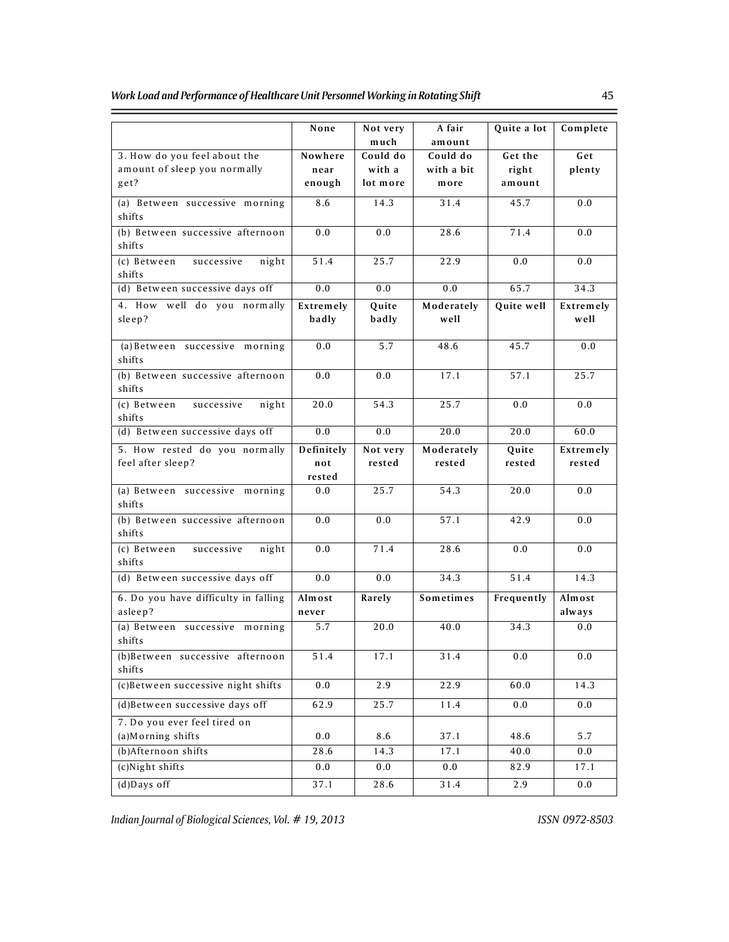$\equiv$ 

|                                                 | None             | Not very<br>much | A fair<br>amount | Quite a lot | Complete         |
|-------------------------------------------------|------------------|------------------|------------------|-------------|------------------|
| 3. How do you feel about the                    | Nowhere          | Could do         | Could do         | Get the     | Get              |
| amount of sleep you normally                    | near             | with a           | with a bit       | right       | plenty           |
| get?                                            | enough           | lot more         | more             | amount      |                  |
| (a) Between successive morning<br>shifts        | 8.6              | 14.3             | 31.4             | 45.7        | 0.0              |
| (b) Between successive afternoon<br>shifts      | 0.0              | 0.0              | 28.6             | 71.4        | 0.0              |
| (c) Between<br>successive<br>night<br>shifts    | $\frac{1}{51.4}$ | 25.7             | 22.9             | 0.0         | 0.0              |
| (d) Between successive days off                 | 0.0              | 0.0              | 0.0              | 65.7        | 34.3             |
| 4. How well do you normally                     | Extremely        | Quite            | Moderately       | Quite well  | Extremely        |
| sleep?                                          | badly            | badly            | well             |             | well             |
| (a) Between successive morning<br>shifts        | 0.0              | 5.7              | 48.6             | 45.7        | 0.0              |
| (b) Between successive afternoon<br>shifts      | 0.0              | 0.0              | 17.1             | 57.1        | 25.7             |
| (c) Between<br>successive<br>night<br>shifts    | 20.0             | 54.3             | 25.7             | 0.0         | 0.0              |
| (d) Between successive days off                 | 0.0              | 0.0              | 20.0             | 20.0        | 60.0             |
| 5. How rested do you normally                   | Definitely       | Not very         | Moderately       | Quite       | Extremely        |
| feel after sleep?                               | not              | rested           | rested           | rested      | rested           |
|                                                 | rested           |                  |                  |             |                  |
| (a) Between successive morning<br>shifts        | 0.0              | 25.7             | 54.3             | 20.0        | 0.0              |
| (b) Between successive afternoon<br>shifts      | 0.0              | 0.0              | 57.1             | 42.9        | 0.0              |
| (c) Between<br>night<br>successive<br>shifts    | 0.0              | 71.4             | 28.6             | 0.0         | 0.0              |
| (d) Between successive days off                 | 0.0              | 0.0              | 34.3             | 51.4        | 14.3             |
| 6. Do you have difficulty in falling<br>asleep? | Almost<br>never  | Rarely           | Sometimes        | Frequently  | Almost<br>always |
| (a) Between successive morning                  | 5.7              | 20.0             | 40.0             | 34.3        | 0.0              |
| shifts                                          |                  |                  |                  |             |                  |
| (b)Between successive afternoon<br>shifts       | 51.4             | 17.1             | 31.4             | 0.0         | 0.0              |
| (c)Between successive night shifts              | 0.0              | 2.9              | 22.9             | 60.0        | 14.3             |
| (d)Between successive days off                  | 62.9             | 25.7             | 11.4             | 0.0         | 0.0              |
| 7. Do you ever feel tired on                    |                  |                  |                  |             |                  |
| (a) Morning shifts                              | 0.0              | 8.6              | 37.1             | 48.6        | 5.7              |
| (b)Afternoon shifts                             | 28.6             | 14.3             | 17.1             | 40.0        | 0.0              |
| $(c)$ Night shifts                              | 0.0              | 0.0              | 0.0              | 82.9        | 17.1             |
| $(d)$ Days off                                  | 37.1             | 28.6             | 31.4             | 2.9         | 0.0              |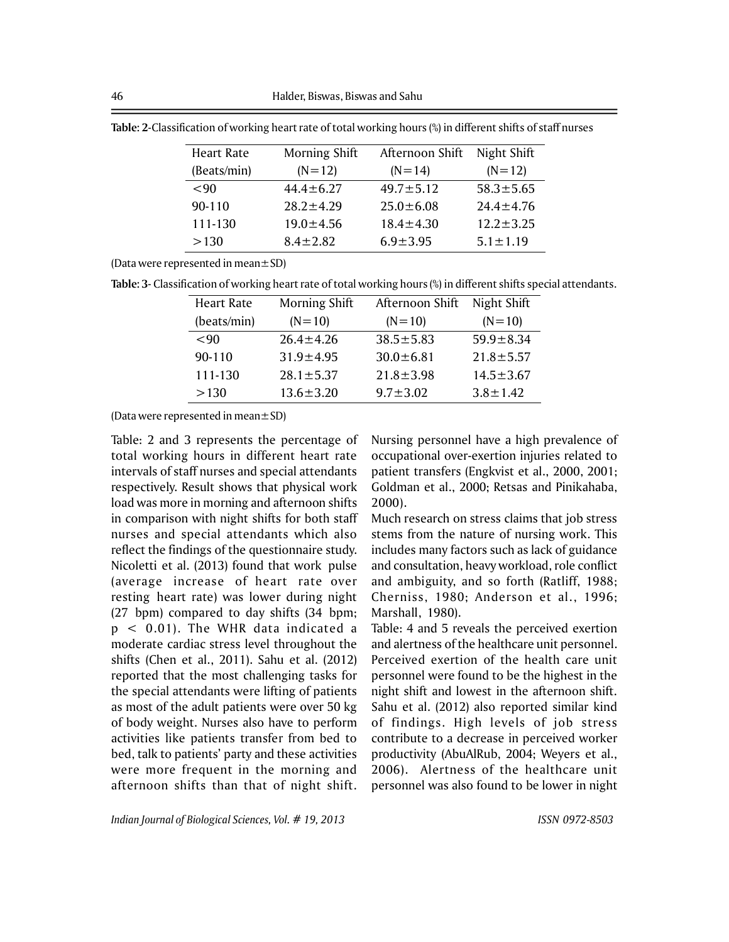| Heart Rate  | Morning Shift   | Afternoon Shift | Night Shift     |
|-------------|-----------------|-----------------|-----------------|
| (Beats/min) | $(N=12)$        | $(N=14)$        | $(N=12)$        |
| ${}_{<}90$  | $44.4 \pm 6.27$ | $49.7 \pm 5.12$ | $58.3 \pm 5.65$ |
| 90-110      | $28.2 \pm 4.29$ | $25.0 \pm 6.08$ | $24.4 \pm 4.76$ |
| 111-130     | $19.0 \pm 4.56$ | $18.4 \pm 4.30$ | $12.2 \pm 3.25$ |
| >130        | $8.4 \pm 2.82$  | $6.9 \pm 3.95$  | $5.1 \pm 1.19$  |

**Table: 2**-Classification of working heart rate of total working hours (%) in different shifts of staff nurses

(Data were represented in mean $\pm$ SD)

| Table: 3- Classification of working heart rate of total working hours (%) in different shifts special attendants. |  |  |
|-------------------------------------------------------------------------------------------------------------------|--|--|
|-------------------------------------------------------------------------------------------------------------------|--|--|

| Heart Rate  | Morning Shift   | Afternoon Shift | Night Shift     |
|-------------|-----------------|-----------------|-----------------|
| (beats/min) | $(N=10)$        | $(N=10)$        | $(N=10)$        |
| <90         | $26.4 \pm 4.26$ | $38.5 \pm 5.83$ | $59.9 \pm 8.34$ |
| 90-110      | $31.9 \pm 4.95$ | $30.0 \pm 6.81$ | $21.8 \pm 5.57$ |
| 111-130     | $28.1 \pm 5.37$ | $21.8 \pm 3.98$ | $14.5 \pm 3.67$ |
| >130        | $13.6 \pm 3.20$ | $9.7 \pm 3.02$  | $3.8 \pm 1.42$  |

(Data were represented in mean±SD)

Table: 2 and 3 represents the percentage of total working hours in different heart rate intervals of staff nurses and special attendants respectively. Result shows that physical work load was more in morning and afternoon shifts in comparison with night shifts for both staff nurses and special attendants which also reflect the findings of the questionnaire study. Nicoletti et al. (2013) found that work pulse (average increase of heart rate over resting heart rate) was lower during night (27 bpm) compared to day shifts (34 bpm; p < 0.01). The WHR data indicated a moderate cardiac stress level throughout the shifts (Chen et al., 2011). Sahu et al. (2012) reported that the most challenging tasks for the special attendants were lifting of patients as most of the adult patients were over 50 kg of body weight. Nurses also have to perform activities like patients transfer from bed to bed, talk to patients' party and these activities were more frequent in the morning and afternoon shifts than that of night shift.

Nursing personnel have a high prevalence of occupational over-exertion injuries related to patient transfers (Engkvist et al., 2000, 2001; Goldman et al., 2000; Retsas and Pinikahaba, 2000).

Much research on stress claims that job stress stems from the nature of nursing work. This includes many factors such as lack of guidance and consultation, heavy workload, role conflict and ambiguity, and so forth (Ratliff, 1988; Cherniss, 1980; Anderson et al., 1996; Marshall, 1980).

Table: 4 and 5 reveals the perceived exertion and alertness of the healthcare unit personnel. Perceived exertion of the health care unit personnel were found to be the highest in the night shift and lowest in the afternoon shift. Sahu et al. (2012) also reported similar kind of findings. High levels of job stress contribute to a decrease in perceived worker productivity (AbuAlRub, 2004; Weyers et al., 2006). Alertness of the healthcare unit personnel was also found to be lower in night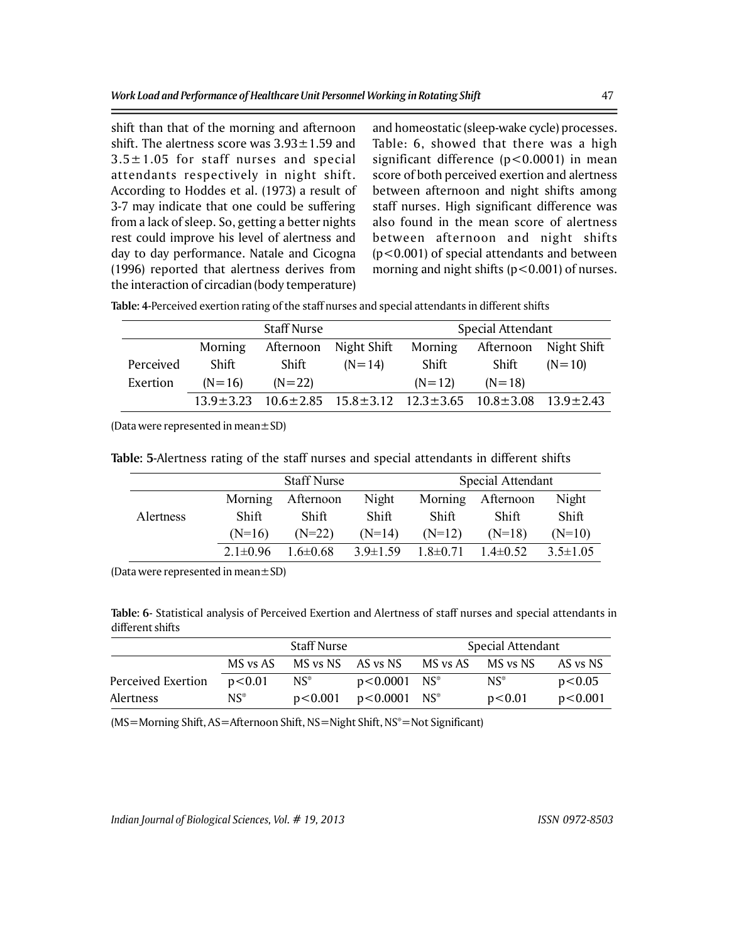shift than that of the morning and afternoon shift. The alertness score was  $3.93 \pm 1.59$  and  $3.5 \pm 1.05$  for staff nurses and special attendants respectively in night shift. According to Hoddes et al. (1973) a result of 3-7 may indicate that one could be suffering from a lack of sleep. So, getting a better nights rest could improve his level of alertness and day to day performance. Natale and Cicogna (1996) reported that alertness derives from the interaction of circadian (body temperature) and homeostatic (sleep-wake cycle) processes. Table: 6, showed that there was a high significant difference (p<0.0001) in mean score of both perceived exertion and alertness between afternoon and night shifts among staff nurses. High significant difference was also found in the mean score of alertness between afternoon and night shifts (p<0.001) of special attendants and between morning and night shifts  $(p<0.001)$  of nurses.

| Table: 4-Perceived exertion rating of the staff nurses and special attendants in different shifts |  |  |  |
|---------------------------------------------------------------------------------------------------|--|--|--|
|                                                                                                   |  |  |  |

|           | <b>Staff Nurse</b> |           |                                                                                                 | Special Attendant |                   |             |
|-----------|--------------------|-----------|-------------------------------------------------------------------------------------------------|-------------------|-------------------|-------------|
|           | Morning            | Afternoon | Night Shift                                                                                     |                   | Morning Afternoon | Night Shift |
| Perceived | Shift              | Shift     | $(N=14)$                                                                                        | Shift             | Shift             | $(N=10)$    |
| Exertion  | $(N=16)$           | $(N=22)$  |                                                                                                 | $(N=12)$          | $(N=18)$          |             |
|           |                    |           | $13.9 \pm 3.23$ $10.6 \pm 2.85$ $15.8 \pm 3.12$ $12.3 \pm 3.65$ $10.8 \pm 3.08$ $13.9 \pm 2.43$ |                   |                   |             |

(Data were represented in mean $\pm$ SD)

**Table: 5**-Alertness rating of the staff nurses and special attendants in different shifts

|           | <b>Staff Nurse</b> |                |                | Special Attendant |               |                |
|-----------|--------------------|----------------|----------------|-------------------|---------------|----------------|
|           | Morning            | Afternoon      | Night          | Morning           | Afternoon     | Night          |
| Alertness | Shift              | <b>Shift</b>   | Shift          | <b>Shift</b>      | <b>Shift</b>  | Shift          |
|           | $(N=16)$           | $(N=22)$       | $(N=14)$       | $(N=12)$          | $(N=18)$      | $(N=10)$       |
|           | $2.1 \pm 0.96$     | $1.6 \pm 0.68$ | $3.9 \pm 1.59$ | $1.8 \pm 0.71$    | $1.4\pm 0.52$ | $3.5 \pm 1.05$ |

(Data were represented in mean $\pm$ SD)

**Table: 6**- Statistical analysis of Perceived Exertion and Alertness of staff nurses and special attendants in different shifts

|                    | <b>Staff Nurse</b> |                   |                  | <b>Special Attendant</b> |                   |          |
|--------------------|--------------------|-------------------|------------------|--------------------------|-------------------|----------|
|                    | MS vs AS           | MS vs NS AS vs NS |                  |                          | MS vs AS MS vs NS | AS vs NS |
| Perceived Exertion | p<0.01             | $NS^*$            | $p < 0.0001$ NS* |                          | $NS^*$            | p<0.05   |
| Alertness          | $NS^*$             | p<0.001           | $p<0.0001$ NS*   |                          | p<0.01            | p<0.001  |

(MS=Morning Shift, AS=Afternoon Shift, NS=Night Shift, NS\*=Not Significant)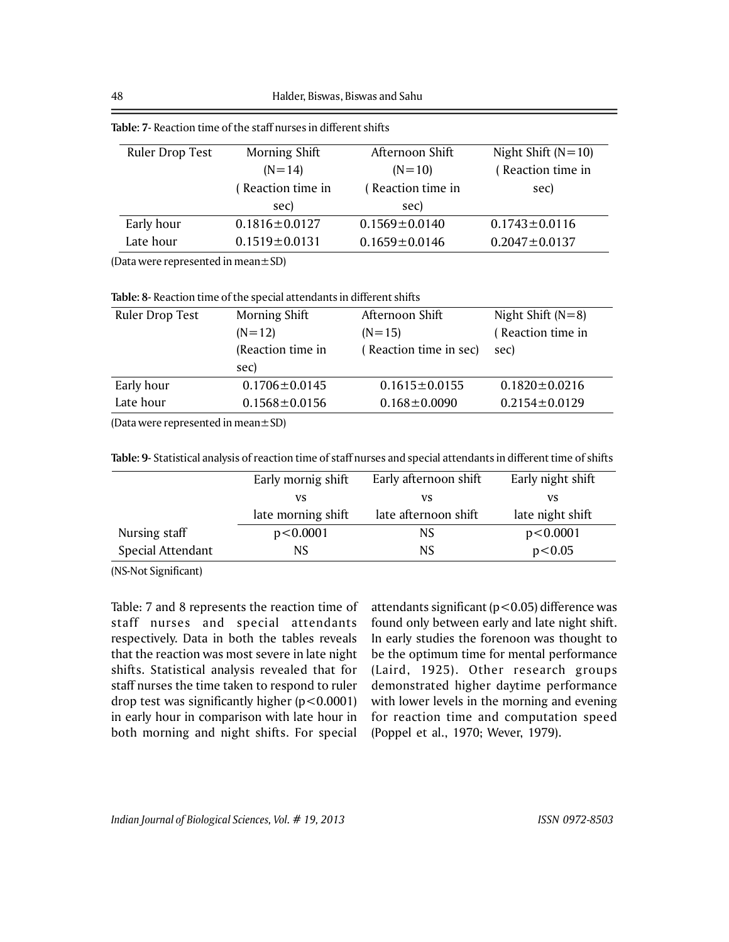|                 | labic. 7 - Reaction thile of the stan hurses in unicrent silits |                     |                      |
|-----------------|-----------------------------------------------------------------|---------------------|----------------------|
| Ruler Drop Test | Morning Shift                                                   | Afternoon Shift     | Night Shift $(N=10)$ |
|                 | $(N=14)$                                                        | $(N=10)$            | (Reaction time in    |
|                 | (Reaction time in                                               | (Reaction time in   | sec)                 |
|                 | sec)                                                            | sec)                |                      |
| Early hour      | $0.1816 \pm 0.0127$                                             | $0.1569 \pm 0.0140$ | $0.1743 \pm 0.0116$  |
| Late hour       | $0.1519 \pm 0.0131$                                             | $0.1659 \pm 0.0146$ | $0.2047 \pm 0.0137$  |

**Table: 7**- Reaction time of the staff nurses in different shifts

(Data were represented in mean±SD)

**Table: 8**- Reaction time of the special attendants in different shifts

| Ruler Drop Test | Morning Shift       | Afternoon Shift        | Night Shift $(N=8)$ |
|-----------------|---------------------|------------------------|---------------------|
|                 | $(N=12)$            | $(N=15)$               | (Reaction time in   |
|                 | (Reaction time in   | (Reaction time in sec) | sec)                |
|                 | sec)                |                        |                     |
| Early hour      | $0.1706 \pm 0.0145$ | $0.1615 \pm 0.0155$    | $0.1820 \pm 0.0216$ |
| Late hour       | $0.1568 \pm 0.0156$ | $0.168 \pm 0.0090$     | $0.2154 \pm 0.0129$ |
|                 |                     |                        |                     |

(Data were represented in mean±SD)

|                   | Early mornig shift | Early afternoon shift | Early night shift |
|-------------------|--------------------|-----------------------|-------------------|
|                   | VS                 | VS                    | VS                |
|                   | late morning shift | late afternoon shift  | late night shift  |
| Nursing staff     | p < 0.0001         | <b>NS</b>             | p < 0.0001        |
| Special Attendant | NS.                | NS.                   | p<0.05            |
|                   |                    |                       |                   |

(NS-Not Significant)

Table: 7 and 8 represents the reaction time of staff nurses and special attendants respectively. Data in both the tables reveals that the reaction was most severe in late night shifts. Statistical analysis revealed that for staff nurses the time taken to respond to ruler drop test was significantly higher  $(p<0.0001)$ in early hour in comparison with late hour in both morning and night shifts. For special attendants significant (p<0.05) difference was found only between early and late night shift. In early studies the forenoon was thought to be the optimum time for mental performance (Laird, 1925). Other research groups demonstrated higher daytime performance with lower levels in the morning and evening for reaction time and computation speed (Poppel et al., 1970; Wever, 1979).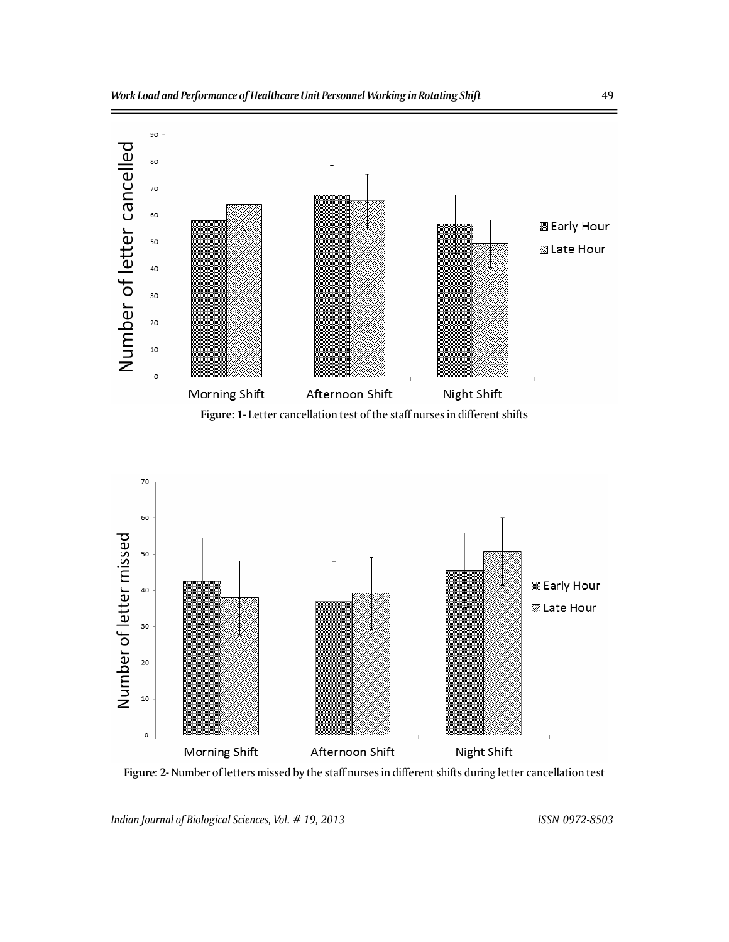



**Figure: 2-** Number of letters missed by the staff nurses in different shifts during letter cancellation test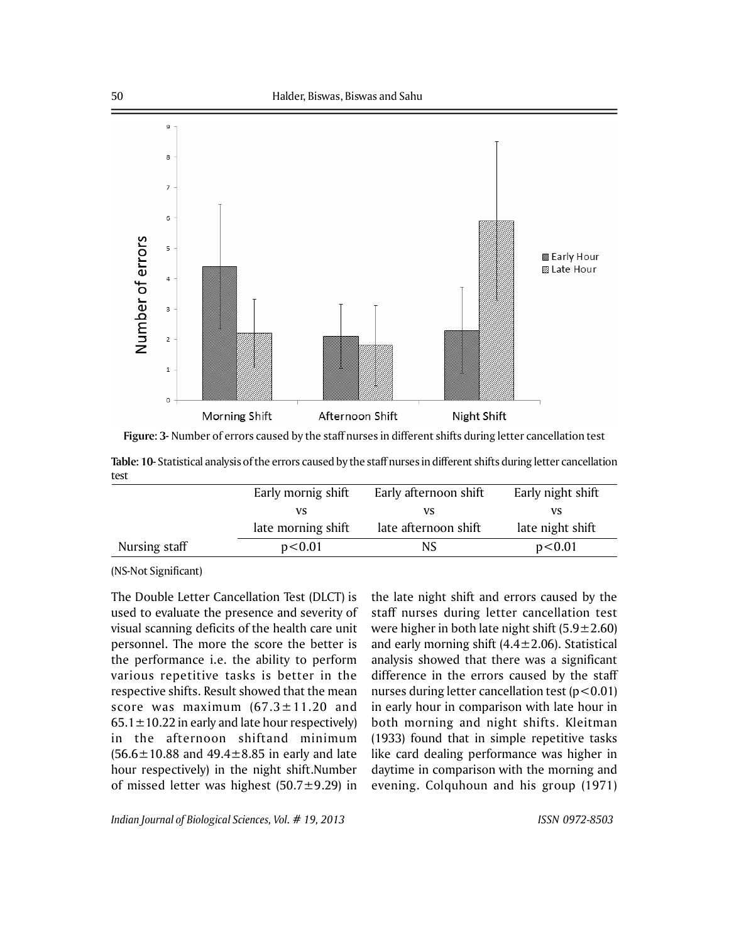

**Figure: 3-** Number of errors caused by the staff nurses in different shifts during letter cancellation test

|      | Table: 10- Statistical analysis of the errors caused by the staff nurses in different shifts during letter cancellation |  |  |
|------|-------------------------------------------------------------------------------------------------------------------------|--|--|
| test |                                                                                                                         |  |  |

|               | Early mornig shift | Early afternoon shift | Early night shift |
|---------------|--------------------|-----------------------|-------------------|
|               | vs                 | VS                    | VS                |
|               | late morning shift | late afternoon shift  | late night shift  |
| Nursing staff | p<0.01             | NS.                   | p<0.01            |
|               |                    |                       |                   |

(NS-Not Significant)

The Double Letter Cancellation Test (DLCT) is used to evaluate the presence and severity of visual scanning deficits of the health care unit personnel. The more the score the better is the performance i.e. the ability to perform various repetitive tasks is better in the respective shifts. Result showed that the mean score was maximum  $(67.3 \pm 11.20$  and  $65.1 \pm 10.22$  in early and late hour respectively) in the afternoon shiftand minimum  $(56.6 \pm 10.88$  and  $49.4 \pm 8.85$  in early and late hour respectively) in the night shift.Number of missed letter was highest  $(50.7 \pm 9.29)$  in

the late night shift and errors caused by the staff nurses during letter cancellation test were higher in both late night shift  $(5.9 \pm 2.60)$ and early morning shift  $(4.4 \pm 2.06)$ . Statistical analysis showed that there was a significant difference in the errors caused by the staff nurses during letter cancellation test  $(p<0.01)$ in early hour in comparison with late hour in both morning and night shifts. Kleitman (1933) found that in simple repetitive tasks like card dealing performance was higher in daytime in comparison with the morning and evening. Colquhoun and his group (1971)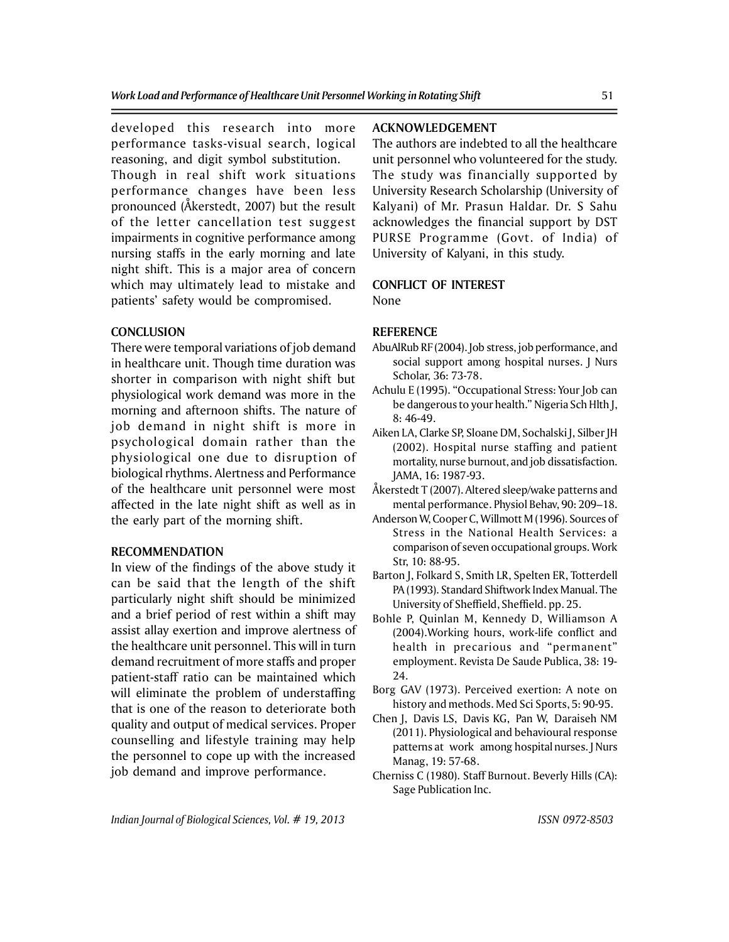developed this research into more performance tasks-visual search, logical reasoning, and digit symbol substitution.

Though in real shift work situations performance changes have been less pronounced (Åkerstedt, 2007) but the result of the letter cancellation test suggest impairments in cognitive performance among nursing staffs in the early morning and late night shift. This is a major area of concern which may ultimately lead to mistake and patients' safety would be compromised.

#### **CONCLUSION**

There were temporal variations of job demand in healthcare unit. Though time duration was shorter in comparison with night shift but physiological work demand was more in the morning and afternoon shifts. The nature of job demand in night shift is more in psychological domain rather than the physiological one due to disruption of biological rhythms. Alertness and Performance of the healthcare unit personnel were most affected in the late night shift as well as in the early part of the morning shift.

#### **RECOMMENDATION**

In view of the findings of the above study it can be said that the length of the shift particularly night shift should be minimized and a brief period of rest within a shift may assist allay exertion and improve alertness of the healthcare unit personnel. This will in turn demand recruitment of more staffs and proper patient-staff ratio can be maintained which will eliminate the problem of understaffing that is one of the reason to deteriorate both quality and output of medical services. Proper counselling and lifestyle training may help the personnel to cope up with the increased job demand and improve performance.

# **ACKNOWLEDGEMENT**

The authors are indebted to all the healthcare unit personnel who volunteered for the study. The study was financially supported by University Research Scholarship (University of Kalyani) of Mr. Prasun Haldar. Dr. S Sahu acknowledges the financial support by DST PURSE Programme (Govt. of India) of University of Kalyani, in this study.

# **CONFLICT OF INTEREST**

None

### **REFERENCE**

- AbuAlRub RF (2004). Job stress, job performance, and social support among hospital nurses. J Nurs Scholar, 36: 73-78.
- Achulu E (1995). "Occupational Stress: Your Job can be dangerous to your health." Nigeria Sch Hlth J, 8: 46-49.
- Aiken LA, Clarke SP, Sloane DM, Sochalski J, Silber JH (2002). Hospital nurse staffing and patient mortality, nurse burnout, and job dissatisfaction. JAMA, 16: 1987-93.
- Åkerstedt T (2007). Altered sleep/wake patterns and mental performance. Physiol Behav, 90: 209–18.
- Anderson W, Cooper C, Willmott M (1996). Sources of Stress in the National Health Services: a comparison of seven occupational groups. Work Str, 10: 88-95.
- Barton J, Folkard S, Smith LR, Spelten ER, Totterdell PA (1993). Standard Shiftwork Index Manual. The University of Sheffield, Sheffield. pp. 25.
- Bohle P, Quinlan M, Kennedy D, Williamson A (2004).Working hours, work-life conflict and health in precarious and "permanent" employment. Revista De Saude Publica, 38: 19- 24.
- Borg GAV (1973). Perceived exertion: A note on history and methods. Med Sci Sports, 5: 90-95.
- Chen J, Davis LS, Davis KG, Pan W, Daraiseh NM (2011). Physiological and behavioural response patterns at work among hospital nurses. J Nurs Manag, 19: 57-68.
- Cherniss C (1980). Staff Burnout. Beverly Hills (CA): Sage Publication Inc.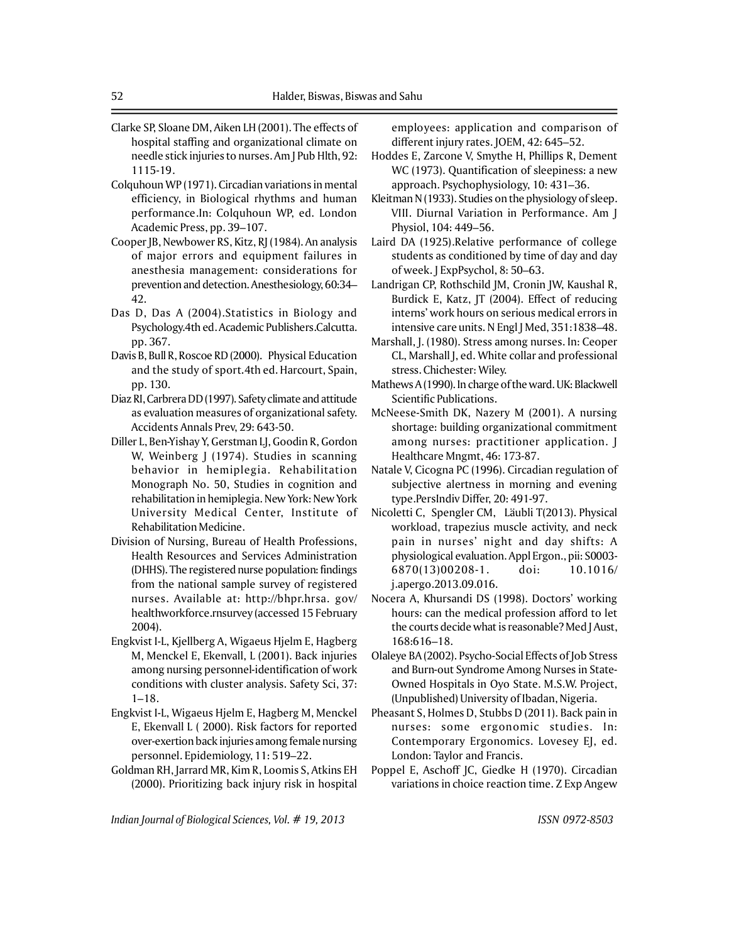- Clarke SP, Sloane DM, Aiken LH (2001). The effects of hospital staffing and organizational climate on needle stick injuries to nurses. Am J Pub Hlth, 92: 1115-19.
- Colquhoun WP (1971). Circadian variations in mental efficiency, in Biological rhythms and human performance.In: Colquhoun WP, ed. London Academic Press, pp. 39–107.
- Cooper JB, Newbower RS, Kitz, RJ (1984). An analysis of major errors and equipment failures in anesthesia management: considerations for prevention and detection. Anesthesiology, 60:34– 42.
- Das D, Das A (2004).Statistics in Biology and Psychology.4th ed. Academic Publishers.Calcutta. pp. 367.
- Davis B, Bull R, Roscoe RD (2000). Physical Education and the study of sport*.*4th ed. Harcourt, Spain, pp. 130.
- Diaz RI, Carbrera DD (1997). Safety climate and attitude as evaluation measures of organizational safety. Accidents Annals Prev, 29: 643-50.
- Diller L, Ben-Yishay Y, Gerstman LJ, Goodin R, Gordon W, Weinberg J (1974). Studies in scanning behavior in hemiplegia. Rehabilitation Monograph No. 50, Studies in cognition and rehabilitation in hemiplegia. New York: New York University Medical Center, Institute of Rehabilitation Medicine.
- Division of Nursing, Bureau of Health Professions, Health Resources and Services Administration (DHHS). The registered nurse population: findings from the national sample survey of registered nurses. Available at: http://bhpr.hrsa. gov/ healthworkforce.rnsurvey (accessed 15 February 2004).
- Engkvist I-L, Kjellberg A, Wigaeus Hjelm E, Hagberg M, Menckel E, Ekenvall, L (2001). Back injuries among nursing personnel-identification of work conditions with cluster analysis. Safety Sci, 37: 1–18.
- Engkvist I-L, Wigaeus Hjelm E, Hagberg M, Menckel E, Ekenvall L ( 2000). Risk factors for reported over-exertion back injuries among female nursing personnel. Epidemiology, 11: 519–22.
- Goldman RH, Jarrard MR, Kim R, Loomis S, Atkins EH (2000). Prioritizing back injury risk in hospital

employees: application and comparison of different injury rates. JOEM, 42: 645–52.

- Hoddes E, Zarcone V, Smythe H, Phillips R, Dement WC (1973). Quantification of sleepiness: a new approach. Psychophysiology, 10: 431–36.
- Kleitman N (1933). Studies on the physiology of sleep. VIII. Diurnal Variation in Performance. Am J Physiol, 104: 449–56.
- Laird DA (1925).Relative performance of college students as conditioned by time of day and day of week. J ExpPsychol, 8: 50–63.
- Landrigan CP, Rothschild JM, Cronin JW, Kaushal R, Burdick E, Katz, JT (2004). Effect of reducing interns' work hours on serious medical errors in intensive care units. N Engl J Med, 351:1838–48.
- Marshall, J. (1980). Stress among nurses. In: Ceoper CL, Marshall J, ed. White collar and professional stress. Chichester: Wiley.
- Mathews A (1990). In charge of the ward. UK: Blackwell Scientific Publications.
- McNeese-Smith DK, Nazery M (2001). A nursing shortage: building organizational commitment among nurses: practitioner application. J Healthcare Mngmt, 46: 173-87.
- Natale V, Cicogna PC (1996). Circadian regulation of subjective alertness in morning and evening type.PersIndiv Differ, 20: 491-97.
- Nicoletti C, Spengler CM, Läubli T(2013). Physical workload, trapezius muscle activity, and neck pain in nurses' night and day shifts: A physiological evaluation. Appl Ergon., pii: S0003- 6870(13)00208-1. doi: 10.1016/ j.apergo.2013.09.016.
- Nocera A, Khursandi DS (1998). Doctors' working hours: can the medical profession afford to let the courts decide what is reasonable? Med J Aust, 168:616–18.
- Olaleye BA (2002). Psycho-Social Effects of Job Stress and Burn-out Syndrome Among Nurses in State-Owned Hospitals in Oyo State. M.S.W. Project, (Unpublished) University of Ibadan, Nigeria.
- Pheasant S, Holmes D, Stubbs D (2011). Back pain in nurses: some ergonomic studies. In: Contemporary Ergonomics. Lovesey EJ, ed. London: Taylor and Francis.
- Poppel E, Aschoff JC, Giedke H (1970). Circadian variations in choice reaction time. Z Exp Angew